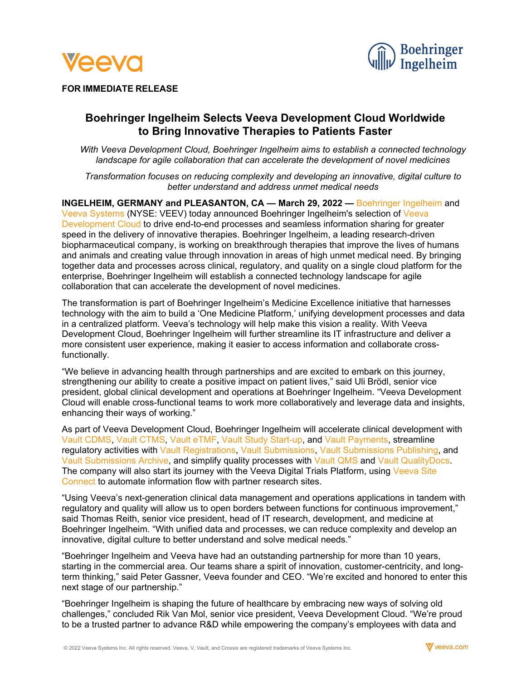



# **FOR IMMEDIATE RELEASE**

# **Boehringer Ingelheim Selects Veeva Development Cloud Worldwide to Bring Innovative Therapies to Patients Faster**

*With Veeva Development Cloud, Boehringer Ingelheim aims to establish a connected technology landscape for agile collaboration that can accelerate the development of novel medicines*

*Transformation focuses on reducing complexity and developing an innovative, digital culture to better understand and address unmet medical needs*

**INGELHEIM, GERMANY and PLEASANTON, CA — March 29, 2022 — [Boehringer Ingelheim](http://www.boehringer-ingelheim.com/) and** [Veeva Systems](https://www.veeva.com/) (NYSE: VEEV) today announced Boehringer Ingelheim's selection of [Veeva](https://www.veeva.com/products/development-cloud/)  [Development Cloud](https://www.veeva.com/products/development-cloud/) to drive end-to-end processes and seamless information sharing for greater speed in the delivery of innovative therapies. Boehringer Ingelheim, a leading research-driven biopharmaceutical company, is working on breakthrough therapies that improve the lives of humans and animals and creating value through innovation in areas of high unmet medical need. By bringing together data and processes across clinical, regulatory, and quality on a single cloud platform for the enterprise, Boehringer Ingelheim will establish a connected technology landscape for agile collaboration that can accelerate the development of novel medicines.

The transformation is part of Boehringer Ingelheim's Medicine Excellence initiative that harnesses technology with the aim to build a 'One Medicine Platform,' unifying development processes and data in a centralized platform. Veeva's technology will help make this vision a reality. With Veeva Development Cloud, Boehringer Ingelheim will further streamline its IT infrastructure and deliver a more consistent user experience, making it easier to access information and collaborate crossfunctionally.

"We believe in advancing health through partnerships and are excited to embark on this journey, strengthening our ability to create a positive impact on patient lives," said Uli Brödl, senior vice president, global clinical development and operations at Boehringer Ingelheim. "Veeva Development Cloud will enable cross-functional teams to work more collaboratively and leverage data and insights, enhancing their ways of working."

As part of Veeva Development Cloud, Boehringer Ingelheim will accelerate clinical development with [Vault CDMS,](https://www.veeva.com/products/clinical-data-management/) [Vault CTMS,](https://www.veeva.com/products/vault-ctms/) [Vault eTMF,](https://www.veeva.com/products/vault-etmf/) [Vault Study Start-up,](https://www.veeva.com/products/vault-study-startup/) and [Vault Payments,](https://www.veeva.com/products/vault-payments/) streamline regulatory activities with [Vault Registrations,](https://www.veeva.com/products/vault-registrations/) [Vault Submissions,](https://www.veeva.com/products/vault-submissions/) [Vault Submissions Publishing,](https://www.veeva.com/products/vault-submissions-publishing/) and [Vault Submissions Archive,](https://www.veeva.com/products/vault-submissions-archive/) and simplify quality processes with [Vault QMS](https://www.veeva.com/products/vault-qms/) and [Vault QualityDocs.](https://www.veeva.com/products/vault-qualitydocs/) The company will also start its journey with the Veeva Digital Trials Platform, using [Veeva Site](https://www.veeva.com/products/veeva-site-connect/)  [Connect](https://www.veeva.com/products/veeva-site-connect/) to automate information flow with partner research sites.

"Using Veeva's next-generation clinical data management and operations applications in tandem with regulatory and quality will allow us to open borders between functions for continuous improvement," said Thomas Reith, senior vice president, head of IT research, development, and medicine at Boehringer Ingelheim. "With unified data and processes, we can reduce complexity and develop an innovative, digital culture to better understand and solve medical needs."

"Boehringer Ingelheim and Veeva have had an outstanding partnership for more than 10 years, starting in the commercial area. Our teams share a spirit of innovation, customer-centricity, and longterm thinking," said Peter Gassner, Veeva founder and CEO. "We're excited and honored to enter this next stage of our partnership."

"Boehringer Ingelheim is shaping the future of healthcare by embracing new ways of solving old challenges," concluded Rik Van Mol, senior vice president, Veeva Development Cloud. "We're proud to be a trusted partner to advance R&D while empowering the company's employees with data and